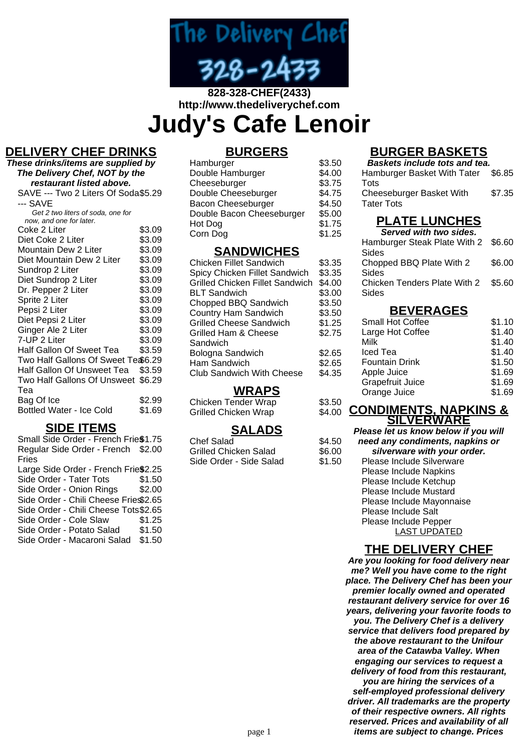

# **828-328-CHEF(2433) http://www.thedeliverychef.com Judy's Cafe Lenoir**

## **DELIVERY CHEF DRINKS**

**These drinks/items are supplied by The Delivery Chef, NOT by the restaurant listed above.** SAVE --- Two 2 Liters Of Soda \$5.29 --- SAVE Get 2 two liters of soda, one for now, and one for later. Coke 2 Liter \$3.09<br>Diet Coke 2 Liter \$3.09 Diet Coke 2 Liter \$3.09<br>Mountain Dew 2 Liter \$3.09 Mountain Dew 2 Liter \$3.09<br>Diet Mountain Dew 2 Liter \$3.09 Diet Mountain Dew 2 Liter \$3.09<br>Sundrop 2 Liter \$3.09 Sundrop 2 Liter Diet Sundrop 2 Liter \$3.09 Dr. Pepper 2 Liter \$3.09 Sprite 2 Liter \$3.09 Pepsi 2 Liter \$3.09 Diet Pepsi 2 Liter \$3.09 Ginger Ale 2 Liter \$3.09 7-UP 2 Liter \$3.09 Half Gallon Of Sweet Tea \$3.59 Two Half Gallons Of Sweet Te \$6.29 Half Gallon Of Unsweet Tea \$3.59 Two Half Gallons Of Unsweet \$6.29 Tea Bag Of Ice \$2.99 Bottled Water - Ice Cold \$1.69

## **SIDE ITEMS**

Small Side Order - French Frie\$1.75 Regular Side Order - French \$2.00 Fries Large Side Order - French Frie\$2.25 Side Order - Tater Tots \$1.50 Side Order - Onion Rings \$2.00 Side Order - Chili Cheese Fries\$2.65 Side Order - Chili Cheese Tots\$2.65 Side Order - Cole Slaw \$1.25 Side Order - Potato Salad \$1.50 Side Order - Macaroni Salad \$1.50

## **BURGERS**

| Hamburger                 | \$3.50 |
|---------------------------|--------|
| Double Hamburger          | \$4.00 |
| Cheeseburger              | \$3.75 |
| Double Cheeseburger       | \$4.75 |
| Bacon Cheeseburger        | \$4.50 |
| Double Bacon Cheeseburger | \$5.00 |
| Hot Dog                   | \$1.75 |
| Corn Dog                  | \$1.25 |

#### **SANDWICHES**

| Chicken Fillet Sandwich                | \$3.35 |
|----------------------------------------|--------|
| Spicy Chicken Fillet Sandwich          | \$3.35 |
| <b>Grilled Chicken Fillet Sandwich</b> | \$4.00 |
| <b>BLT Sandwich</b>                    | \$3.00 |
| Chopped BBQ Sandwich                   | \$3.50 |
| <b>Country Ham Sandwich</b>            | \$3.50 |
| <b>Grilled Cheese Sandwich</b>         | \$1.25 |
| Grilled Ham & Cheese                   | \$2.75 |
| Sandwich                               |        |
| Bologna Sandwich                       | \$2.65 |
| Ham Sandwich                           | \$2.65 |
| <b>Club Sandwich With Cheese</b>       | \$4.35 |
|                                        |        |

#### **WRAPS**

Chicken Tender Wrap \$3.50 Grilled Chicken Wrap \$4.00

## **SALADS**

 $$4.50$  $$6.00$  $$1.50$ 

| Chef Salad              |  |
|-------------------------|--|
| Grilled Chicken Salad   |  |
| Side Order - Side Salad |  |

# **BURGER BASKETS**

| <b>Baskets include tots and tea.</b>                  |        |
|-------------------------------------------------------|--------|
| Hamburger Basket With Tater \$6.85                    |        |
| Tots<br>Cheeseburger Basket With<br><b>Tater Tots</b> | \$7.35 |

## **PLATE LUNCHES**

| Served with two sides.              |        |
|-------------------------------------|--------|
| Hamburger Steak Plate With 2 \$6.60 |        |
| Sides                               |        |
| Chopped BBQ Plate With 2            | \$6.00 |
| Sides                               |        |
| Chicken Tenders Plate With 2        | \$5.60 |
| Sides                               |        |
|                                     |        |

### **BEVERAGES**

| <b>Small Hot Coffee</b> | \$1.10 |
|-------------------------|--------|
| Large Hot Coffee        | \$1.40 |
| Milk                    | \$1.40 |
| Iced Tea                | \$1.40 |
| <b>Fountain Drink</b>   | \$1.50 |
| Apple Juice             | \$1.69 |
| Grapefruit Juice        | \$1.69 |
| Orange Juice            | \$1.69 |
|                         |        |

#### **CONDIMENTS, NAPKINS & SILVERWARE**

| Please let us know below if you will |
|--------------------------------------|
| need any condiments, napkins or      |
| silverware with your order.          |
| Please Include Silverware            |
| <b>Please Include Napkins</b>        |
| Please Include Ketchup               |
| <b>Please Include Mustard</b>        |
| Please Include Mayonnaise            |
| Please Include Salt                  |
| Please Include Pepper                |
| <b>LAST UPDATED</b>                  |
|                                      |

### **THE DELIVERY CHEF**

**Are you looking for food delivery near me? Well you have come to the right place. The Delivery Chef has been your premier locally owned and operated restaurant delivery service for over 16 years, delivering your favorite foods to you. The Delivery Chef is a delivery service that delivers food prepared by the above restaurant to the Unifour area of the Catawba Valley. When engaging our services to request a delivery of food from this restaurant, you are hiring the services of a self-employed professional delivery driver. All trademarks are the property of their respective owners. All rights reserved. Prices and availability of all** page 1 **items are subject to change. Prices**